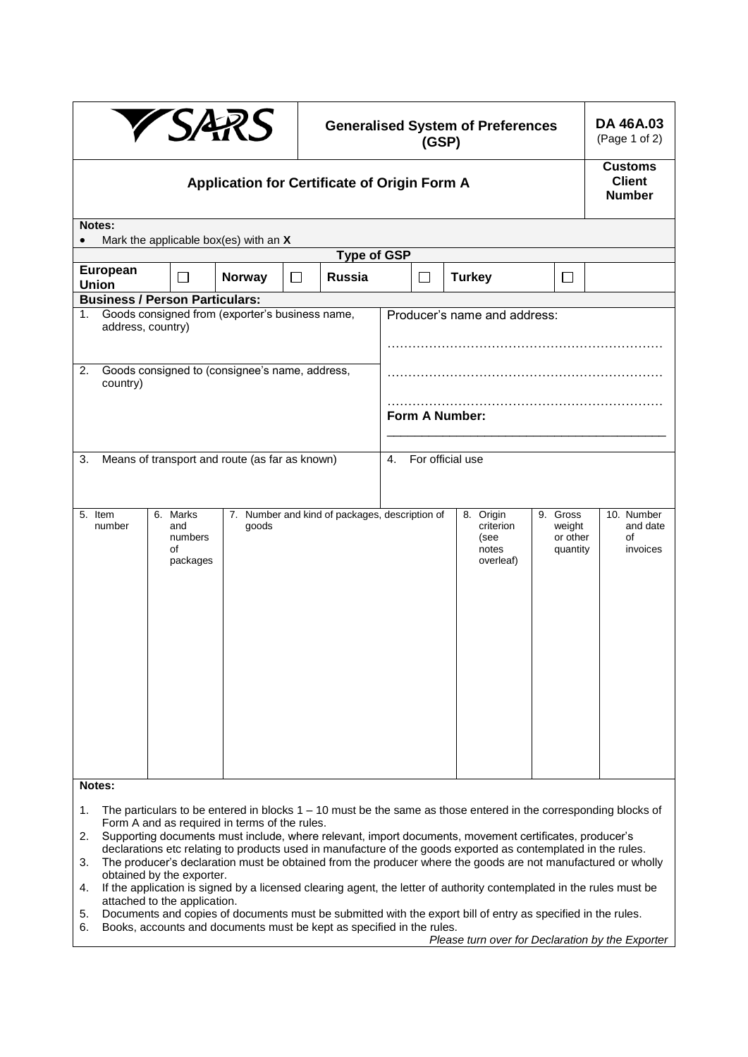| <b>YSARS</b>                                                                                               |                                              |        |        | <b>Generalised System of Preferences</b><br>(GSP) |        |  |                                                      |  |                                            | DA 46A.03<br>(Page 1 of 2)                       |  |
|------------------------------------------------------------------------------------------------------------|----------------------------------------------|--------|--------|---------------------------------------------------|--------|--|------------------------------------------------------|--|--------------------------------------------|--------------------------------------------------|--|
| Application for Certificate of Origin Form A                                                               |                                              |        |        |                                                   |        |  |                                                      |  |                                            | <b>Customs</b><br><b>Client</b><br><b>Number</b> |  |
| Notes:                                                                                                     |                                              |        |        |                                                   |        |  |                                                      |  |                                            |                                                  |  |
| Mark the applicable box(es) with an X<br>$\bullet$<br><b>Type of GSP</b>                                   |                                              |        |        |                                                   |        |  |                                                      |  |                                            |                                                  |  |
| <b>European</b><br><b>Union</b>                                                                            |                                              | Norway | $\Box$ | <b>Russia</b>                                     | $\Box$ |  | <b>Turkey</b>                                        |  | П                                          |                                                  |  |
| <b>Business / Person Particulars:</b>                                                                      |                                              |        |        |                                                   |        |  |                                                      |  |                                            |                                                  |  |
| Producer's name and address:<br>Goods consigned from (exporter's business name,<br>1.<br>address, country) |                                              |        |        |                                                   |        |  |                                                      |  |                                            |                                                  |  |
| Goods consigned to (consignee's name, address,<br>2.<br>country)                                           |                                              |        |        |                                                   |        |  | Form A Number:                                       |  |                                            |                                                  |  |
| For official use<br>Means of transport and route (as far as known)<br>3.<br>4.                             |                                              |        |        |                                                   |        |  |                                                      |  |                                            |                                                  |  |
| 5. Item<br>number<br>Notes:                                                                                | 6. Marks<br>and<br>numbers<br>of<br>packages | goods  |        | 7. Number and kind of packages, description of    |        |  | 8. Origin<br>criterion<br>(see<br>notes<br>overleaf) |  | 9. Gross<br>weight<br>or other<br>quantity | 10. Number<br>and date<br>of<br>invoices         |  |

- 1. The particulars to be entered in blocks 1 10 must be the same as those entered in the corresponding blocks of Form A and as required in terms of the rules.
- 2. Supporting documents must include, where relevant, import documents, movement certificates, producer's declarations etc relating to products used in manufacture of the goods exported as contemplated in the rules.
- 3. The producer's declaration must be obtained from the producer where the goods are not manufactured or wholly obtained by the exporter.
- 4. If the application is signed by a licensed clearing agent, the letter of authority contemplated in the rules must be attached to the application.
- 5. Documents and copies of documents must be submitted with the export bill of entry as specified in the rules.
- 6. Books, accounts and documents must be kept as specified in the rules.

*Please turn over for Declaration by the Exporter*